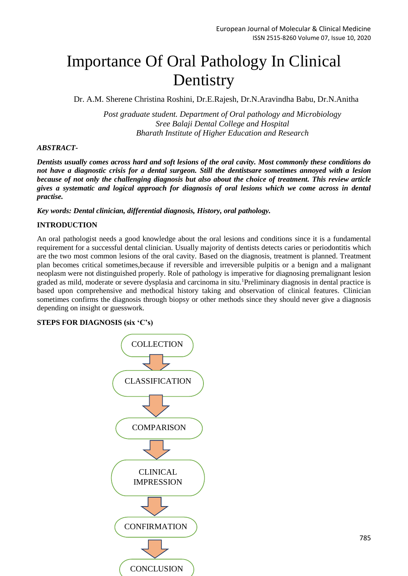# Importance Of Oral Pathology In Clinical Dentistry

Dr. A.M. Sherene Christina Roshini, Dr.E.Rajesh, Dr.N.Aravindha Babu, Dr.N.Anitha

*Post graduate student. Department of Oral pathology and Microbiology Sree Balaji Dental College and Hospital Bharath Institute of Higher Education and Research*

## *ABSTRACT-*

*Dentists usually comes across hard and soft lesions of the oral cavity. Most commonly these conditions do not have a diagnostic crisis for a dental surgeon. Still the dentistsare sometimes annoyed with a lesion because of not only the challenging diagnosis but also about the choice of treatment. This review article gives a systematic and logical approach for diagnosis of oral lesions which we come across in dental practise.*

*Key words: Dental clinician, differential diagnosis, History, oral pathology.*

## **INTRODUCTION**

An oral pathologist needs a good knowledge about the oral lesions and conditions since it is a fundamental requirement for a successful dental clinician. Usually majority of dentists detects caries or periodontitis which are the two most common lesions of the oral cavity. Based on the diagnosis, treatment is planned. Treatment plan becomes critical sometimes,because if reversible and irreversible pulpitis or a benign and a malignant neoplasm were not distinguished properly. Role of pathology is imperative for diagnosing premalignant lesion graded as mild, moderate or severe dysplasia and carcinoma in situ.<sup>1</sup>Preliminary diagnosis in dental practice is based upon comprehensive and methodical history taking and observation of clinical features. Clinician sometimes confirms the diagnosis through biopsy or other methods since they should never give a diagnosis depending on insight or guesswork.

#### **STEPS FOR DIAGNOSIS (six 'C's)**

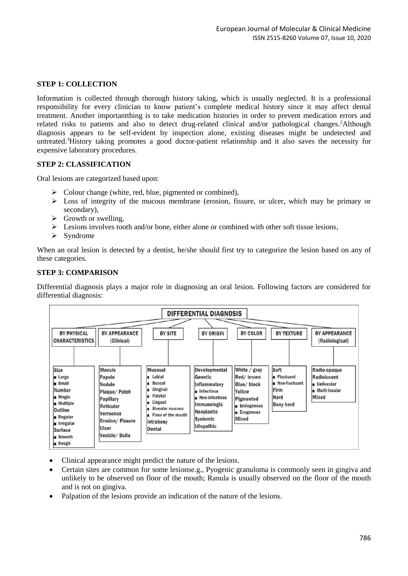# **STEP 1: COLLECTION**

Information is collected through thorough history taking, which is usually neglected. It is a professional responsibility for every clinician to know patient's complete medical history since it may affect dental treatment. Another importantthing is to take medication histories in order to prevent medication errors and related risks to patients and also to detect drug-related clinical and/or pathological changes.<sup>2</sup>Although diagnosis appears to be self-evident by inspection alone, existing diseases might be undetected and untreated.<sup>3</sup>History taking promotes a good doctor-patient relationship and it also saves the necessity for expensive laboratory procedures.

## **STEP 2: CLASSIFICATION**

Oral lesions are categorized based upon:

- $\triangleright$  Colour change (white, red, blue, pigmented or combined),
- $\triangleright$  Loss of integrity of the mucous membrane (erosion, fissure, or ulcer, which may be primary or secondary),
- $\triangleright$  Growth or swelling,
- $\triangleright$  Lesions involves tooth and/or bone, either alone or combined with other soft tissue lesions,
- $\triangleright$  Syndrome

When an oral lesion is detected by a dentist, he/she should first try to categorize the lesion based on any of these categories.

#### **STEP 3: COMPARISON**

Differential diagnosis plays a major role in diagnosing an oral lesion. Following factors are considered for differential diagnosis:



- Clinical appearance might predict the nature of the lesions.
- Certain sites are common for some lesionse.g., Pyogenic granuloma is commonly seen in gingiva and unlikely to be observed on floor of the mouth; Ranula is usually observed on the floor of the mouth and is not on gingiva.
- Palpation of the lesions provide an indication of the nature of the lesions.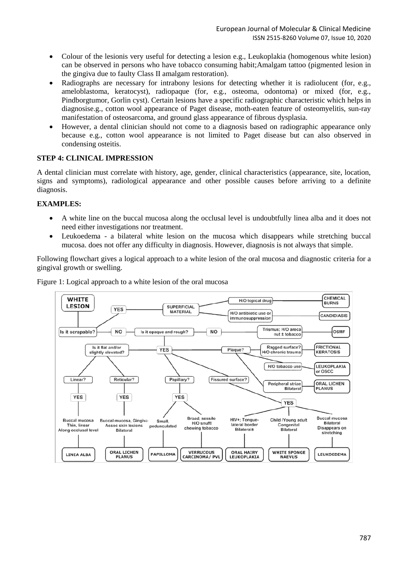- Colour of the lesionis very useful for detecting a lesion e.g., Leukoplakia (homogenous white lesion) can be observed in persons who have tobacco consuming habit;Amalgam tattoo (pigmented lesion in the gingiva due to faulty Class II amalgam restoration).
- Radiographs are necessary for intrabony lesions for detecting whether it is radiolucent (for, e.g., ameloblastoma, keratocyst), radiopaque (for, e.g., osteoma, odontoma) or mixed (for, e.g., Pindborgtumor, Gorlin cyst). Certain lesions have a specific radiographic characteristic which helps in diagnosise.g., cotton wool appearance of Paget disease, moth-eaten feature of osteomyelitis, sun-ray manifestation of osteosarcoma, and ground glass appearance of fibrous dysplasia.
- However, a dental clinician should not come to a diagnosis based on radiographic appearance only because e.g., cotton wool appearance is not limited to Paget disease but can also observed in condensing osteitis.

# **STEP 4: CLINICAL IMPRESSION**

A dental clinician must correlate with history, age, gender, clinical characteristics (appearance, site, location, signs and symptoms), radiological appearance and other possible causes before arriving to a definite diagnosis.

# **EXAMPLES:**

- A white line on the buccal mucosa along the occlusal level is undoubtfully linea alba and it does not need either investigations nor treatment.
- Leukoedema a bilateral white lesion on the mucosa which disappears while stretching buccal mucosa. does not offer any difficulty in diagnosis. However, diagnosis is not always that simple.

Following flowchart gives a logical approach to a white lesion of the oral mucosa and diagnostic criteria for a gingival growth or swelling.



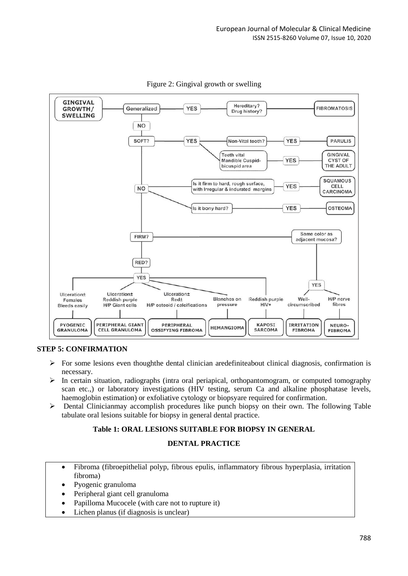

Figure 2: Gingival growth or swelling

# **STEP 5: CONFIRMATION**

- $\triangleright$  For some lesions even thoughthe dental clinician aredefiniteabout clinical diagnosis, confirmation is necessary.
- $\triangleright$  In certain situation, radiographs (intra oral periapical, orthopantomogram, or computed tomography scan etc.,) or laboratory investigations (HIV testing, serum Ca and alkaline phosphatase levels, haemoglobin estimation) or exfoliative cytology or biopsyare required for confirmation.
- $\triangleright$  Dental Clinicianmay accomplish procedures like punch biopsy on their own. The following Table tabulate oral lesions suitable for biopsy in general dental practice.

# **Table 1: ORAL LESIONS SUITABLE FOR BIOPSY IN GENERAL**

# **DENTAL PRACTICE**

- Fibroma (fibroepithelial polyp, fibrous epulis, inflammatory fibrous hyperplasia, irritation fibroma)
- Pyogenic granuloma
- Peripheral giant cell granuloma
- Papilloma Mucocele (with care not to rupture it)
- Lichen planus (if diagnosis is unclear)